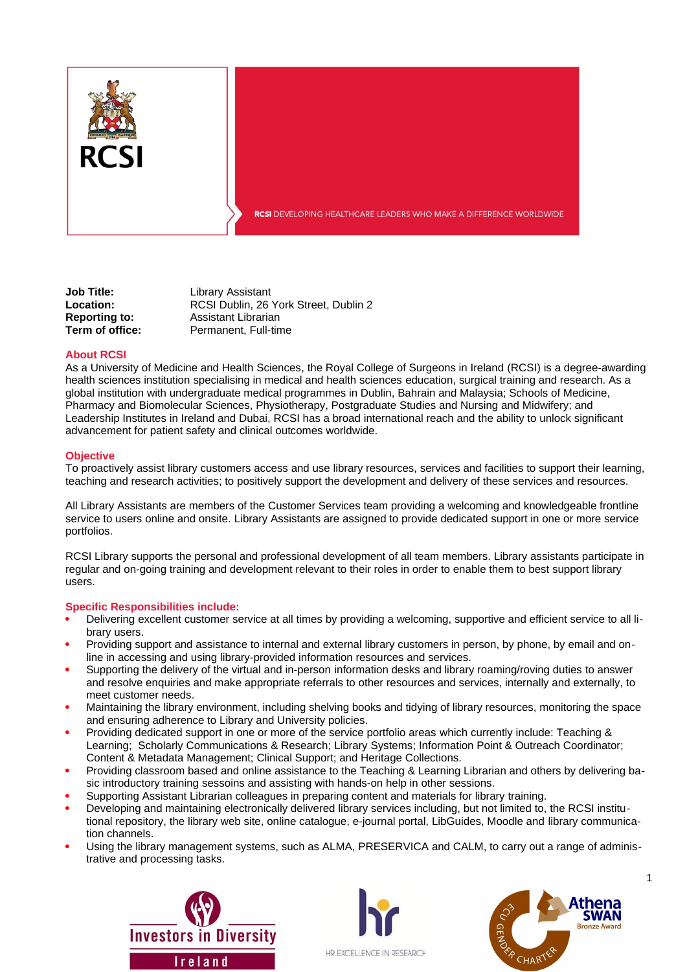

**RCSI** DEVELOPING HEALTHCARE LEADERS WHO MAKE A DIFFERENCE WORLDWIDE

**Job Title:** Library Assistant **Location:** RCSI Dublin, 26 York Street, Dublin 2 **Reporting to:** Assistant Librarian **Term of office:** Permanent, Full-time

### **About RCSI**

As a University of Medicine and Health Sciences, the Royal College of Surgeons in Ireland (RCSI) is a degree-awarding health sciences institution specialising in medical and health sciences education, surgical training and research. As a global institution with undergraduate medical programmes in Dublin, Bahrain and Malaysia; Schools of Medicine, Pharmacy and Biomolecular Sciences, Physiotherapy, Postgraduate Studies and Nursing and Midwifery; and Leadership Institutes in Ireland and Dubai, RCSI has a broad international reach and the ability to unlock significant advancement for patient safety and clinical outcomes worldwide.

#### **Objective**

To proactively assist library customers access and use library resources, services and facilities to support their learning, teaching and research activities; to positively support the development and delivery of these services and resources.

All Library Assistants are members of the Customer Services team providing a welcoming and knowledgeable frontline service to users online and onsite. Library Assistants are assigned to provide dedicated support in one or more service portfolios.

RCSI Library supports the personal and professional development of all team members. Library assistants participate in regular and on-going training and development relevant to their roles in order to enable them to best support library users.

### **Specific Responsibilities include:**

- Delivering excellent customer service at all times by providing a welcoming, supportive and efficient service to all library users.
- Providing support and assistance to internal and external library customers in person, by phone, by email and online in accessing and using library-provided information resources and services.
- Supporting the delivery of the virtual and in-person information desks and library roaming/roving duties to answer and resolve enquiries and make appropriate referrals to other resources and services, internally and externally, to meet customer needs.
- Maintaining the library environment, including shelving books and tidying of library resources, monitoring the space and ensuring adherence to Library and University policies.
- Providing dedicated support in one or more of the service portfolio areas which currently include: Teaching & Learning; Scholarly Communications & Research; Library Systems; Information Point & Outreach Coordinator; Content & Metadata Management; Clinical Support; and Heritage Collections.
- Providing classroom based and online assistance to the Teaching & Learning Librarian and others by delivering basic introductory training sessoins and assisting with hands-on help in other sessions.
- Supporting Assistant Librarian colleagues in preparing content and materials for library training.
- Developing and maintaining electronically delivered library services including, but not limited to, the RCSI institutional repository, the library web site, online catalogue, e-journal portal, LibGuides, Moodle and library communication channels.
- Using the library management systems, such as ALMA, PRESERVICA and CALM, to carry out a range of administrative and processing tasks.





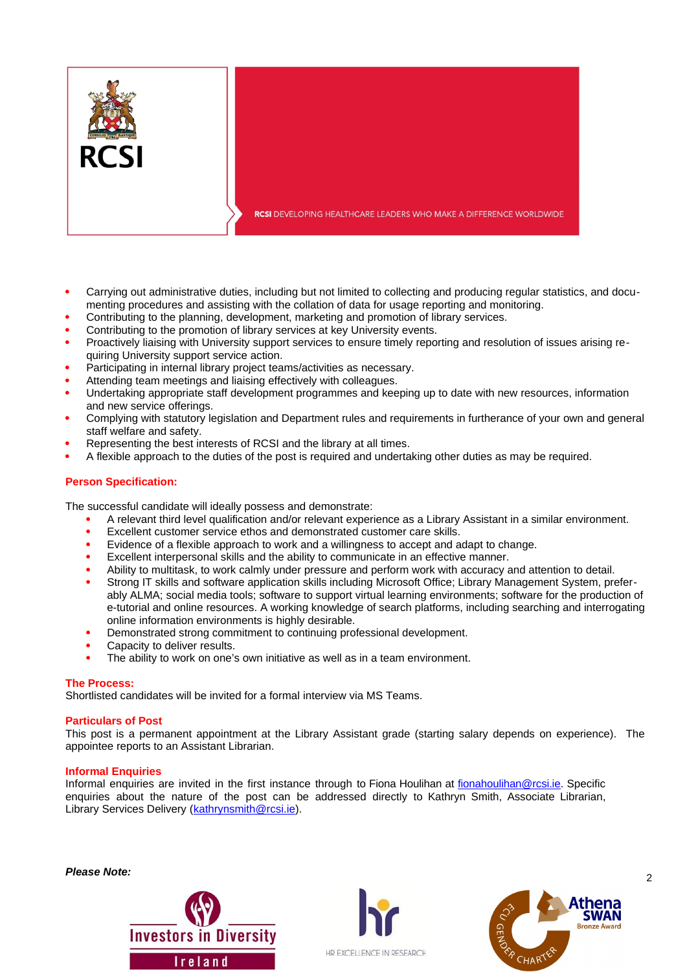

- Carrying out administrative duties, including but not limited to collecting and producing regular statistics, and documenting procedures and assisting with the collation of data for usage reporting and monitoring.
- Contributing to the planning, development, marketing and promotion of library services.
- Contributing to the promotion of library services at key University events.
- Proactively liaising with University support services to ensure timely reporting and resolution of issues arising requiring University support service action.
- Participating in internal library project teams/activities as necessary.
- Attending team meetings and liaising effectively with colleagues.
- Undertaking appropriate staff development programmes and keeping up to date with new resources, information and new service offerings.
- Complying with statutory legislation and Department rules and requirements in furtherance of your own and general staff welfare and safety.
- Representing the best interests of RCSI and the library at all times.
- A flexible approach to the duties of the post is required and undertaking other duties as may be required.

# **Person Specification:**

The successful candidate will ideally possess and demonstrate:

- A relevant third level qualification and/or relevant experience as a Library Assistant in a similar environment.
- Excellent customer service ethos and demonstrated customer care skills.
- Evidence of a flexible approach to work and a willingness to accept and adapt to change.
- Excellent interpersonal skills and the ability to communicate in an effective manner.
- Ability to multitask, to work calmly under pressure and perform work with accuracy and attention to detail.
- Strong IT skills and software application skills including Microsoft Office; Library Management System, preferably ALMA; social media tools; software to support virtual learning environments; software for the production of e-tutorial and online resources. A working knowledge of search platforms, including searching and interrogating online information environments is highly desirable.
- Demonstrated strong commitment to continuing professional development.
- Capacity to deliver results.
- The ability to work on one's own initiative as well as in a team environment.

## **The Process:**

Shortlisted candidates will be invited for a formal interview via MS Teams.

## **Particulars of Post**

This post is a permanent appointment at the Library Assistant grade (starting salary depends on experience). The appointee reports to an Assistant Librarian.

## **Informal Enquiries**

Informal enquiries are invited in the first instance through to Fiona Houlihan at [fionahoulihan@rcsi.ie.](mailto:fionahoulihan@rcsi.ie) Specific enquiries about the nature of the post can be addressed directly to Kathryn Smith, Associate Librarian, Library Services Delivery ([kathrynsmith@rcsi.ie](mailto:kathrynsmith@rcsi.ie)).

*Please Note:* 2